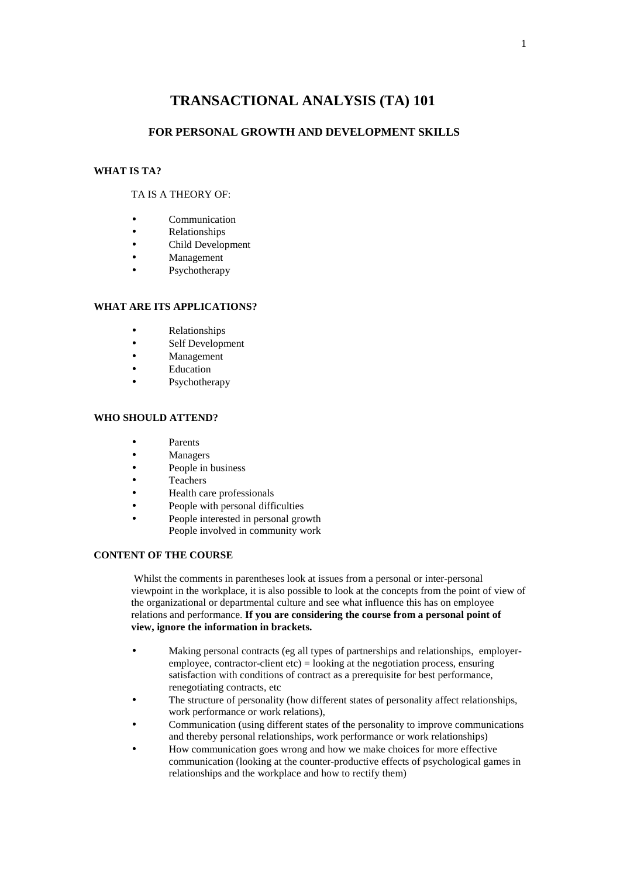# **TRANSACTIONAL ANALYSIS (TA) 101**

## **FOR PERSONAL GROWTH AND DEVELOPMENT SKILLS**

# **WHAT IS TA?**

#### TA IS A THEORY OF:

- Communication
- Relationships
- Child Development
- Management
- Psychotherapy

# **WHAT ARE ITS APPLICATIONS?**

- Relationships
- Self Development
- Management
- Education
- Psychotherapy

#### **WHO SHOULD ATTEND?**

- Parents
- Managers
- People in business
- Teachers
- Health care professionals
- People with personal difficulties
- People interested in personal growth People involved in community work

# **CONTENT OF THE COURSE**

 Whilst the comments in parentheses look at issues from a personal or inter-personal viewpoint in the workplace, it is also possible to look at the concepts from the point of view of the organizational or departmental culture and see what influence this has on employee relations and performance. **If you are considering the course from a personal point of view, ignore the information in brackets.** 

- Making personal contracts (eg all types of partnerships and relationships, employeremployee, contractor-client  $etc$ ) = looking at the negotiation process, ensuring satisfaction with conditions of contract as a prerequisite for best performance, renegotiating contracts, etc
- The structure of personality (how different states of personality affect relationships, work performance or work relations),
- Communication (using different states of the personality to improve communications and thereby personal relationships, work performance or work relationships)
- How communication goes wrong and how we make choices for more effective communication (looking at the counter-productive effects of psychological games in relationships and the workplace and how to rectify them)